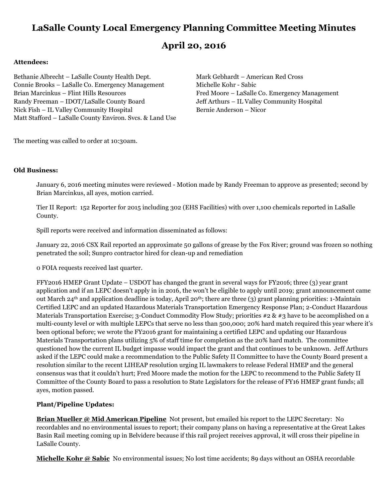# **LaSalle County Local Emergency Planning Committee Meeting Minutes**

## **April 20, 2016**

#### **Attendees:**

Bethanie Albrecht – LaSalle County Health Dept. Mark Gebhardt – American Red Cross Connie Brooks – LaSalle Co. Emergency Management Michelle Kohr - Sabic Brian Marcinkus – Flint Hills Resources Fred Moore – LaSalle Co. Emergency Management Randy Freeman – IDOT/LaSalle County Board Jeff Arthurs – IL Valley Community Hospital Nick Fish – IL Valley Community Hospital Bernie Anderson – Nicor Matt Stafford – LaSalle County Environ. Svcs. & Land Use

The meeting was called to order at 10:30am.

#### **Old Business:**

January 6, 2016 meeting minutes were reviewed - Motion made by Randy Freeman to approve as presented; second by Brian Marcinkus, all ayes, motion carried.

Tier II Report: 152 Reporter for 2015 including 302 (EHS Facilities) with over 1,100 chemicals reported in LaSalle County.

Spill reports were received and information disseminated as follows:

January 22, 2016 CSX Rail reported an approximate 50 gallons of grease by the Fox River; ground was frozen so nothing penetrated the soil; Sunpro contractor hired for clean-up and remediation

0 FOIA requests received last quarter.

FFY2016 HMEP Grant Update – USDOT has changed the grant in several ways for FY2016; three (3) year grant application and if an LEPC doesn't apply in in 2016, the won't be eligible to apply until 2019; grant announcement came out March 24<sup>th</sup> and application deadline is today, April 20<sup>th</sup>; there are three (3) grant planning priorities: 1-Maintain Certified LEPC and an updated Hazardous Materials Transportation Emergency Response Plan; 2-Conduct Hazardous Materials Transportation Exercise; 3-Conduct Commodity Flow Study; priorities #2 & #3 have to be accomplished on a multi-county level or with multiple LEPCs that serve no less than 500,000; 20% hard match required this year where it's been optional before; we wrote the FY2016 grant for maintaining a certified LEPC and updating our Hazardous Materials Transportation plans utilizing 5% of staff time for completion as the 20% hard match. The committee questioned how the current IL budget impasse would impact the grant and that continues to be unknown. Jeff Arthurs asked if the LEPC could make a recommendation to the Public Safety II Committee to have the County Board present a resolution similar to the recent LIHEAP resolution urging IL lawmakers to release Federal HMEP and the general consensus was that it couldn't hurt; Fred Moore made the motion for the LEPC to recommend to the Public Safety II Committee of the County Board to pass a resolution to State Legislators for the release of FY16 HMEP grant funds; all ayes, motion passed.

#### **Plant/Pipeline Updates:**

**Brian Mueller @ Mid American Pipeline** Not present, but emailed his report to the LEPC Secretary: No recordables and no environmental issues to report; their company plans on having a representative at the Great Lakes Basin Rail meeting coming up in Belvidere because if this rail project receives approval, it will cross their pipeline in LaSalle County.

**Michelle Kohr @ Sabic** No environmental issues; No lost time accidents; 89 days without an OSHA recordable